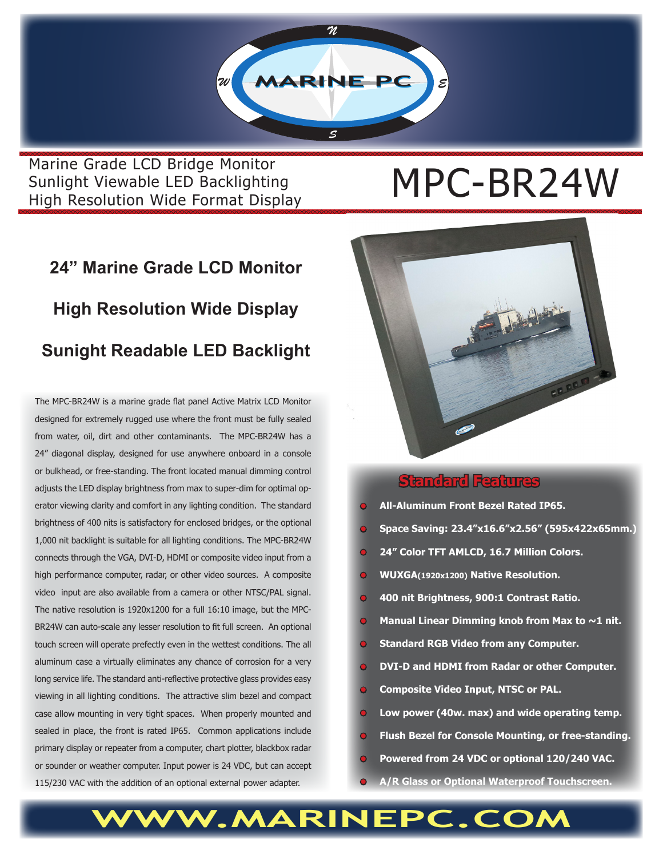

Marine Grade LCD Bridge Monitor<br>Sunlight Viewable LED Backlighting<br>Wirely Britannic Line Marine String String String String String String String String String String String Str Sunlight Viewable LED Backlighting High Resolution Wide Format Display

## **24" Marine Grade LCD Monitor High Resolution Wide Display Sunight Readable LED Backlight**

The MPC-BR24W is a marine grade flat panel Active Matrix LCD Monitor designed for extremely rugged use where the front must be fully sealed from water, oil, dirt and other contaminants. The MPC-BR24W has a 24" diagonal display, designed for use anywhere onboard in a console or bulkhead, or free-standing. The front located manual dimming control adjusts the LED display brightness from max to super-dim for optimal operator viewing clarity and comfort in any lighting condition. The standard brightness of 400 nits is satisfactory for enclosed bridges, or the optional 1,000 nit backlight is suitable for all lighting conditions. The MPC-BR24W connects through the VGA, DVI-D, HDMI or composite video input from a high performance computer, radar, or other video sources. A composite video input are also available from a camera or other NTSC/PAL signal. The native resolution is 1920x1200 for a full 16:10 image, but the MPC-BR24W can auto-scale any lesser resolution to fit full screen. An optional touch screen will operate prefectly even in the wettest conditions. The all aluminum case a virtually eliminates any chance of corrosion for a very long service life. The standard anti-reflective protective glass provides easy viewing in all lighting conditions. The attractive slim bezel and compact case allow mounting in very tight spaces. When properly mounted and sealed in place, the front is rated IP65. Common applications include primary display or repeater from a computer, chart plotter, blackbox radar or sounder or weather computer. Input power is 24 VDC, but can accept 115/230 VAC with the addition of an optional external power adapter.



#### **Standard Features**

- **• All-Aluminum Front Bezel Rated IP65.**
- **• Space Saving: 23.4"x16.6"x2.56" (595x422x65mm.)**
- **• 24" Color TFT AMLCD, 16.7 Million Colors.**
- **• WUXGA(1920x1200) Native Resolution.**
- **400 nit Brightness, 900:1 Contrast Ratio.**
- **Manual Linear Dimming knob from Max to ~1 nit.**
- **• Standard RGB Video from any Computer.**
- **• DVI-D and HDMI from Radar or other Computer.**
- **• Composite Video Input, NTSC or PAL.**
- **• Low power (40w. max) and wide operating temp.**
- **• Flush Bezel for Console Mounting, or free-standing.**
- **• Powered from 24 VDC or optional 120/240 VAC.**
- **• A/R Glass or Optional Waterproof Touchscreen.**

### WW.MARINEPC.CO